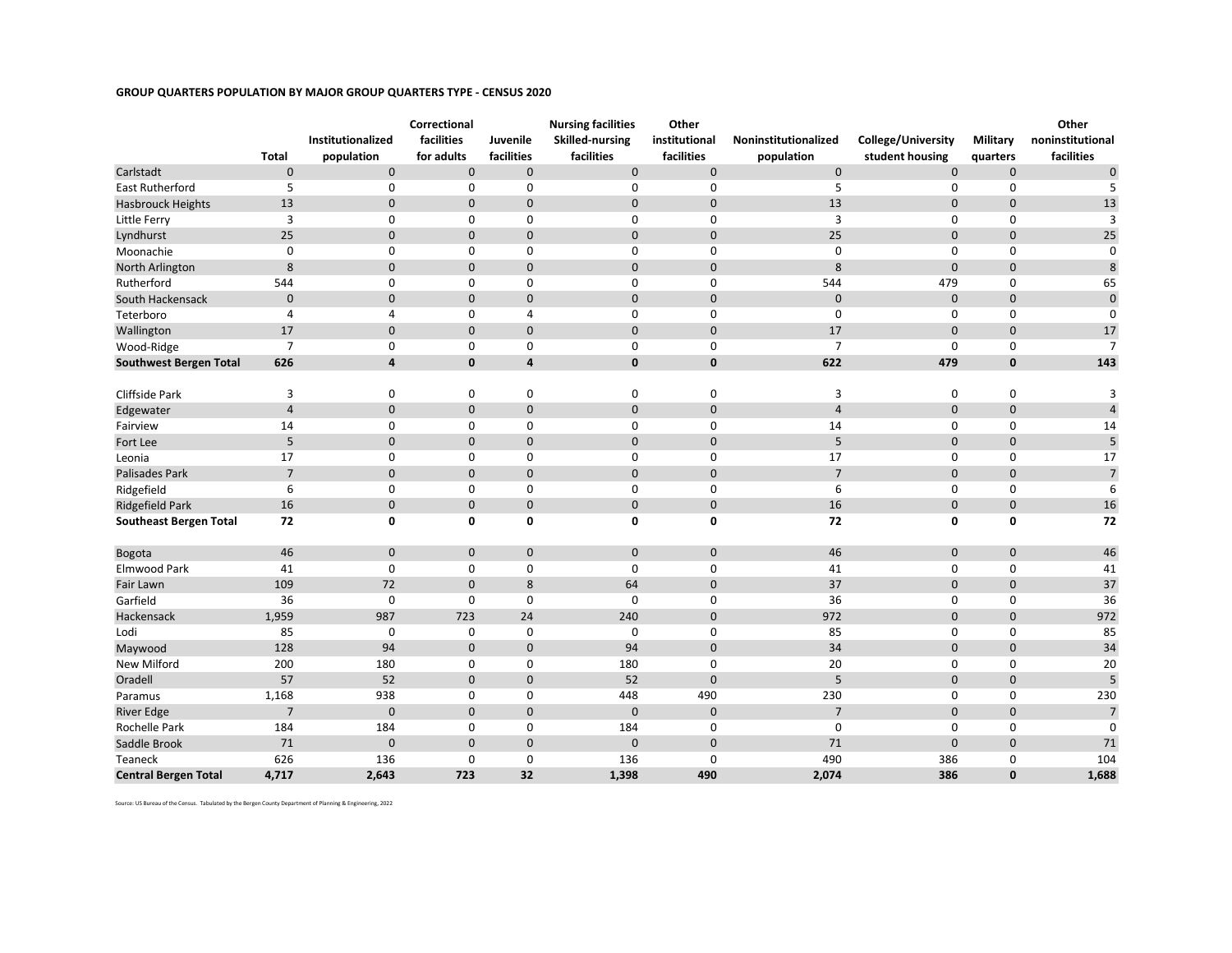## **GROUP QUARTERS POPULATION BY MAJOR GROUP QUARTERS TYPE - CENSUS 2020**

|                               |                |                   | Correctional |                | <b>Nursing facilities</b> | Other         |                      |                     |              | Other            |
|-------------------------------|----------------|-------------------|--------------|----------------|---------------------------|---------------|----------------------|---------------------|--------------|------------------|
|                               |                | Institutionalized | facilities   | Juvenile       | <b>Skilled-nursing</b>    | institutional | Noninstitutionalized | College/University  | Military     | noninstitutional |
|                               | Total          | population        | for adults   | facilities     | facilities                | facilities    | population           | student housing     | quarters     | facilities       |
| Carlstadt                     | $\pmb{0}$      | $\mathbf 0$       | $\pmb{0}$    | 0              | $\pmb{0}$                 | $\mathbf 0$   | $\mathbf 0$          | $\mathsf{O}\xspace$ | $\pmb{0}$    | $\pmb{0}$        |
| <b>East Rutherford</b>        | 5              | $\mathbf 0$       | $\mathbf 0$  | 0              | $\mathbf 0$               | $\mathbf 0$   | 5                    | $\mathbf 0$         | $\Omega$     | 5                |
| <b>Hasbrouck Heights</b>      | 13             | $\mathbf 0$       | $\mathbf 0$  | 0              | $\pmb{0}$                 | $\mathbf 0$   | 13                   | $\mathbf 0$         | $\pmb{0}$    | 13               |
| Little Ferry                  | 3              | 0                 | 0            | 0              | 0                         | $\mathbf 0$   | 3                    | 0                   | 0            | 3                |
| Lyndhurst                     | 25             | $\mathbf 0$       | $\pmb{0}$    | 0              | $\mathbf 0$               | $\mathbf 0$   | 25                   | $\mathbf 0$         | $\mathbf 0$  | 25               |
| Moonachie                     | $\mathbf 0$    | 0                 | 0            | 0              | $\mathbf 0$               | $\mathbf 0$   | $\mathbf 0$          | $\mathbf 0$         | 0            | $\mathbf 0$      |
| North Arlington               | 8              | $\mathbf{0}$      | $\mathbf 0$  | $\mathbf{0}$   | $\mathbf 0$               | $\mathbf 0$   | 8                    | $\mathbf{0}$        | $\mathbf 0$  | $\,8\,$          |
| Rutherford                    | 544            | 0                 | 0            | 0              | $\mathbf 0$               | $\mathbf 0$   | 544                  | 479                 | 0            | 65               |
| South Hackensack              | $\mathbf 0$    | 0                 | $\mathbf 0$  | 0              | $\pmb{0}$                 | $\mathbf 0$   | $\mathbf 0$          | $\mathbf 0$         | $\pmb{0}$    | $\pmb{0}$        |
| Teterboro                     | $\overline{4}$ | $\overline{4}$    | 0            | $\overline{4}$ | 0                         | $\mathbf 0$   | $\mathbf 0$          | $\mathbf 0$         | 0            | 0                |
| Wallington                    | 17             | 0                 | $\mathbf 0$  | 0              | $\pmb{0}$                 | $\mathbf 0$   | 17                   | $\mathbf 0$         | $\pmb{0}$    | 17               |
| Wood-Ridge                    | $\overline{7}$ | $\mathbf 0$       | 0            | 0              | 0                         | 0             | $\overline{7}$       | $\mathbf 0$         | 0            | $\overline{7}$   |
| <b>Southwest Bergen Total</b> | 626            | 4                 | $\mathbf 0$  | 4              | $\mathbf{0}$              | $\bf{0}$      | 622                  | 479                 | $\mathbf 0$  | 143              |
|                               |                |                   |              |                |                           |               |                      |                     |              |                  |
| Cliffside Park                | 3              | 0                 | 0            | 0              | $\mathbf 0$               | $\mathbf 0$   | 3                    | $\mathbf 0$         | 0            | 3                |
| Edgewater                     | $\overline{4}$ | 0                 | $\mathbf 0$  | 0              | $\pmb{0}$                 | $\mathbf 0$   | $\overline{4}$       | $\mathbf 0$         | $\pmb{0}$    | $\sqrt{4}$       |
| Fairview                      | 14             | $\mathbf 0$       | 0            | 0              | 0                         | $\mathbf 0$   | 14                   | 0                   | 0            | 14               |
| Fort Lee                      | 5              | 0                 | $\mathbf 0$  | 0              | $\pmb{0}$                 | $\mathbf 0$   | 5                    | $\mathbf 0$         | $\pmb{0}$    | $\overline{5}$   |
| Leonia                        | 17             | $\mathbf 0$       | 0            | 0              | $\mathbf 0$               | $\mathbf 0$   | 17                   | 0                   | 0            | 17               |
| Palisades Park                | $\overline{7}$ | 0                 | $\pmb{0}$    | 0              | $\pmb{0}$                 | $\mathbf 0$   | $\overline{7}$       | $\mathbf 0$         | $\pmb{0}$    | $\sqrt{ }$       |
| Ridgefield                    | 6              | $\mathbf 0$       | 0            | 0              | $\mathbf 0$               | $\mathbf 0$   | 6                    | 0                   | 0            | 6                |
| <b>Ridgefield Park</b>        | 16             | $\mathbf{0}$      | $\mathbf 0$  | $\mathbf{0}$   | $\mathbf 0$               | $\mathbf 0$   | 16                   | $\mathbf 0$         | $\pmb{0}$    | 16               |
| <b>Southeast Bergen Total</b> | 72             | 0                 | 0            | 0              | 0                         | 0             | 72                   | $\mathbf 0$         | 0            | 72               |
|                               |                |                   |              |                |                           |               |                      |                     |              |                  |
| Bogota                        | 46             | $\pmb{0}$         | $\mathbf 0$  | 0              | $\pmb{0}$                 | $\pmb{0}$     | 46                   | $\mathsf{O}\xspace$ | $\pmb{0}$    | 46               |
| Elmwood Park                  | 41             | $\mathbf 0$       | $\mathbf 0$  | 0              | $\mathbf 0$               | $\mathbf 0$   | 41                   | $\mathbf 0$         | 0            | 41               |
| Fair Lawn                     | 109            | 72                | $\mathbf 0$  | 8              | 64                        | $\mathbf 0$   | 37                   | $\mathbf 0$         | $\mathbf 0$  | 37               |
| Garfield                      | 36             | 0                 | 0            | 0              | 0                         | 0             | 36                   | 0                   | 0            | 36               |
| Hackensack                    | 1,959          | 987               | 723          | 24             | 240                       | $\mathbf 0$   | 972                  | $\mathbf 0$         | $\mathbf 0$  | 972              |
| Lodi                          | 85             | 0                 | $\mathsf 0$  | 0              | 0                         | $\mathbf 0$   | 85                   | 0                   | 0            | 85               |
| Maywood                       | 128            | 94                | $\mathbf 0$  | 0              | 94                        | $\mathbf 0$   | 34                   | $\mathbf 0$         | $\mathbf 0$  | 34               |
| New Milford                   | 200            | 180               | 0            | 0              | 180                       | $\mathbf 0$   | 20                   | $\mathbf 0$         | 0            | 20               |
| Oradell                       | 57             | 52                | $\mathbf 0$  | 0              | 52                        | $\mathbf{0}$  | 5                    | $\mathbf 0$         | $\mathbf{0}$ | 5                |
| Paramus                       | 1,168          | 938               | 0            | 0              | 448                       | 490           | 230                  | 0                   | 0            | 230              |
| <b>River Edge</b>             | $\overline{7}$ | $\mathbf 0$       | $\pmb{0}$    | 0              | $\pmb{0}$                 | $\mathbf 0$   | $\overline{7}$       | $\mathbf 0$         | $\pmb{0}$    | $\overline{7}$   |
| Rochelle Park                 | 184            | 184               | $\mathbf 0$  | 0              | 184                       | $\mathbf 0$   | $\mathbf 0$          | $\mathbf 0$         | 0            | $\mathbf 0$      |
| Saddle Brook                  | 71             | 0                 | $\mathbf 0$  | 0              | $\mathbf 0$               | $\mathbf 0$   | 71                   | $\mathbf{0}$        | $\mathbf 0$  | 71               |
| Teaneck                       | 626            | 136               | 0            | 0              | 136                       | $\mathbf 0$   | 490                  | 386                 | 0            | 104              |
| <b>Central Bergen Total</b>   | 4,717          | 2,643             | 723          | 32             | 1,398                     | 490           | 2,074                | 386                 | 0            | 1,688            |

Source: US Bureau of the Census. Tabulated by the Bergen County Department of Planning & Engineering, 2022